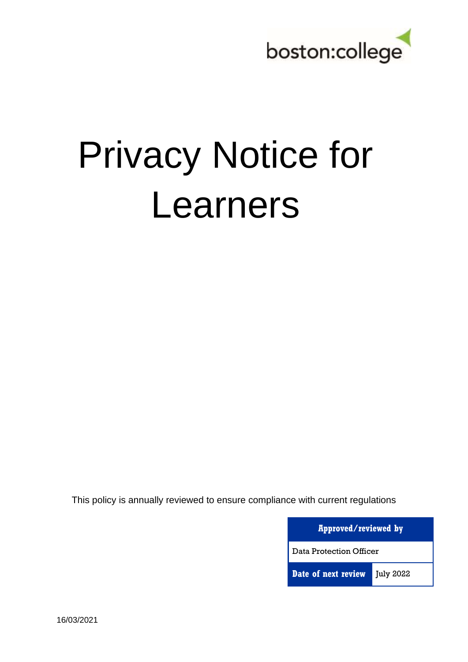

# Privacy Notice for Learners

This policy is annually reviewed to ensure compliance with current regulations

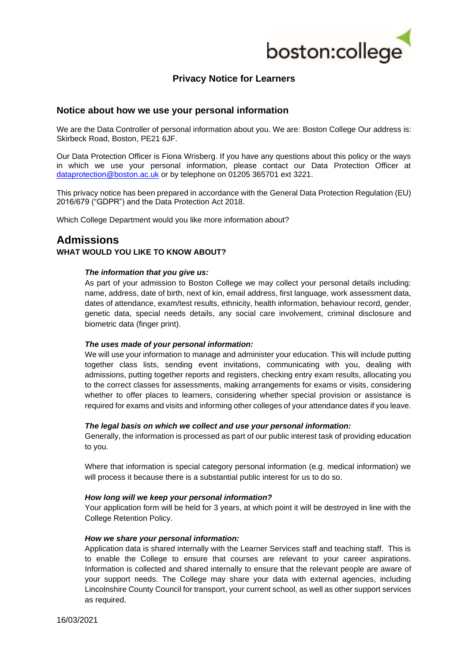

# **Privacy Notice for Learners**

## **Notice about how we use your personal information**

We are the Data Controller of personal information about you. We are: Boston College Our address is: Skirbeck Road, Boston, PE21 6JF.

Our Data Protection Officer is Fiona Wrisberg. If you have any questions about this policy or the ways in which we use your personal information, please contact our Data Protection Officer at [dataprotection@boston.ac.uk](mailto:dataprotection@boston.ac.uk) or by telephone on 01205 365701 ext 3221.

This privacy notice has been prepared in accordance with the General Data Protection Regulation (EU) 2016/679 ("GDPR") and the Data Protection Act 2018.

Which College Department would you like more information about?

# **Admissions**

#### **WHAT WOULD YOU LIKE TO KNOW ABOUT?**

#### *The information that you give us:*

As part of your admission to Boston College we may collect your personal details including: name, address, date of birth, next of kin, email address, first language, work assessment data, dates of attendance, exam/test results, ethnicity, health information, behaviour record, gender, genetic data, special needs details, any social care involvement, criminal disclosure and biometric data (finger print).

#### *The uses made of your personal information:*

We will use your information to manage and administer your education. This will include putting together class lists, sending event invitations, communicating with you, dealing with admissions, putting together reports and registers, checking entry exam results, allocating you to the correct classes for assessments, making arrangements for exams or visits, considering whether to offer places to learners, considering whether special provision or assistance is required for exams and visits and informing other colleges of your attendance dates if you leave.

#### *The legal basis on which we collect and use your personal information:*

Generally, the information is processed as part of our public interest task of providing education to you.

Where that information is special category personal information (e.g. medical information) we will process it because there is a substantial public interest for us to do so.

#### *How long will we keep your personal information?*

Your application form will be held for 3 years, at which point it will be destroyed in line with the College Retention Policy.

#### *How we share your personal information:*

Application data is shared internally with the Learner Services staff and teaching staff. This is to enable the College to ensure that courses are relevant to your career aspirations. Information is collected and shared internally to ensure that the relevant people are aware of your support needs. The College may share your data with external agencies, including Lincolnshire County Council for transport, your current school, as well as other support services as required.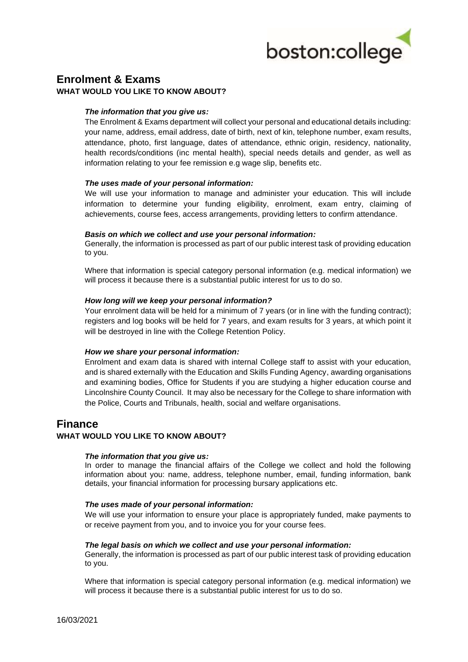

# **Enrolment & Exams WHAT WOULD YOU LIKE TO KNOW ABOUT?**

## *The information that you give us:*

The Enrolment & Exams department will collect your personal and educational details including: your name, address, email address, date of birth, next of kin, telephone number, exam results, attendance, photo, first language, dates of attendance, ethnic origin, residency, nationality, health records/conditions (inc mental health), special needs details and gender, as well as information relating to your fee remission e.g wage slip, benefits etc.

#### *The uses made of your personal information:*

We will use your information to manage and administer your education. This will include information to determine your funding eligibility, enrolment, exam entry, claiming of achievements, course fees, access arrangements, providing letters to confirm attendance.

#### *Basis on which we collect and use your personal information:*

Generally, the information is processed as part of our public interest task of providing education to you.

Where that information is special category personal information (e.g. medical information) we will process it because there is a substantial public interest for us to do so.

### *How long will we keep your personal information?*

Your enrolment data will be held for a minimum of 7 years (or in line with the funding contract); registers and log books will be held for 7 years, and exam results for 3 years, at which point it will be destroyed in line with the College Retention Policy.

#### *How we share your personal information:*

Enrolment and exam data is shared with internal College staff to assist with your education, and is shared externally with the Education and Skills Funding Agency, awarding organisations and examining bodies, Office for Students if you are studying a higher education course and Lincolnshire County Council. It may also be necessary for the College to share information with the Police, Courts and Tribunals, health, social and welfare organisations.

# **Finance**

## **WHAT WOULD YOU LIKE TO KNOW ABOUT?**

#### *The information that you give us:*

In order to manage the financial affairs of the College we collect and hold the following information about you: name, address, telephone number, email, funding information, bank details, your financial information for processing bursary applications etc.

#### *The uses made of your personal information:*

We will use your information to ensure your place is appropriately funded, make payments to or receive payment from you, and to invoice you for your course fees.

#### *The legal basis on which we collect and use your personal information:*

Generally, the information is processed as part of our public interest task of providing education to you.

Where that information is special category personal information (e.g. medical information) we will process it because there is a substantial public interest for us to do so.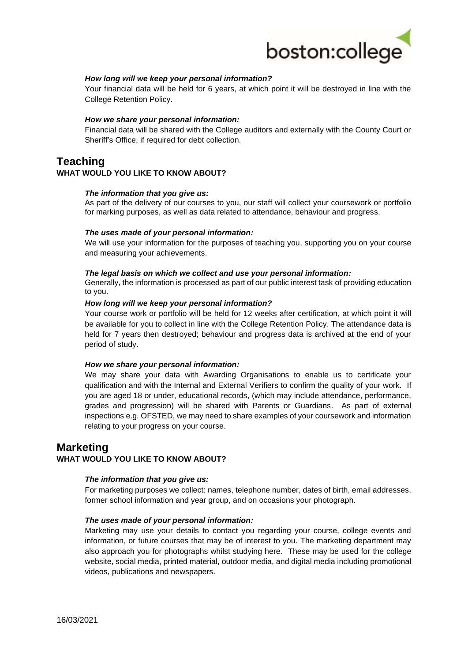

#### *How long will we keep your personal information?*

Your financial data will be held for 6 years, at which point it will be destroyed in line with the College Retention Policy.

#### *How we share your personal information:*

Financial data will be shared with the College auditors and externally with the County Court or Sheriff's Office, if required for debt collection.

# **Teaching**

## **WHAT WOULD YOU LIKE TO KNOW ABOUT?**

#### *The information that you give us:*

As part of the delivery of our courses to you, our staff will collect your coursework or portfolio for marking purposes, as well as data related to attendance, behaviour and progress.

#### *The uses made of your personal information:*

We will use your information for the purposes of teaching you, supporting you on your course and measuring your achievements.

#### *The legal basis on which we collect and use your personal information:*

Generally, the information is processed as part of our public interest task of providing education to you.

#### *How long will we keep your personal information?*

Your course work or portfolio will be held for 12 weeks after certification, at which point it will be available for you to collect in line with the College Retention Policy. The attendance data is held for 7 years then destroyed; behaviour and progress data is archived at the end of your period of study.

#### *How we share your personal information:*

We may share your data with Awarding Organisations to enable us to certificate your qualification and with the Internal and External Verifiers to confirm the quality of your work. If you are aged 18 or under, educational records, (which may include attendance, performance, grades and progression) will be shared with Parents or Guardians. As part of external inspections e.g. OFSTED, we may need to share examples of your coursework and information relating to your progress on your course.

## **Marketing**

#### **WHAT WOULD YOU LIKE TO KNOW ABOUT?**

#### *The information that you give us:*

For marketing purposes we collect: names, telephone number, dates of birth, email addresses, former school information and year group, and on occasions your photograph.

#### *The uses made of your personal information:*

Marketing may use your details to contact you regarding your course, college events and information, or future courses that may be of interest to you. The marketing department may also approach you for photographs whilst studying here. These may be used for the college website, social media, printed material, outdoor media, and digital media including promotional videos, publications and newspapers.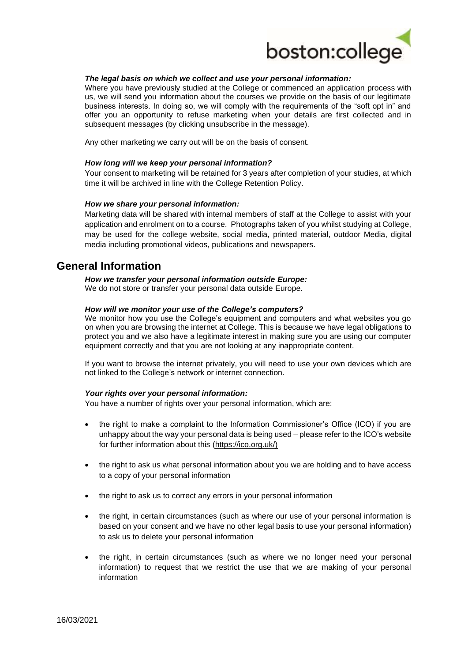

#### *The legal basis on which we collect and use your personal information:*

Where you have previously studied at the College or commenced an application process with us, we will send you information about the courses we provide on the basis of our legitimate business interests. In doing so, we will comply with the requirements of the "soft opt in" and offer you an opportunity to refuse marketing when your details are first collected and in subsequent messages (by clicking unsubscribe in the message).

Any other marketing we carry out will be on the basis of consent.

#### *How long will we keep your personal information?*

Your consent to marketing will be retained for 3 years after completion of your studies, at which time it will be archived in line with the College Retention Policy.

#### *How we share your personal information:*

Marketing data will be shared with internal members of staff at the College to assist with your application and enrolment on to a course. Photographs taken of you whilst studying at College, may be used for the college website, social media, printed material, outdoor Media, digital media including promotional videos, publications and newspapers.

## **General Information**

*How we transfer your personal information outside Europe:*

We do not store or transfer your personal data outside Europe.

#### *How will we monitor your use of the College's computers?*

We monitor how you use the College's equipment and computers and what websites you go on when you are browsing the internet at College. This is because we have legal obligations to protect you and we also have a legitimate interest in making sure you are using our computer equipment correctly and that you are not looking at any inappropriate content.

If you want to browse the internet privately, you will need to use your own devices which are not linked to the College's network or internet connection.

#### *Your rights over your personal information:*

You have a number of rights over your personal information, which are:

- the right to make a complaint to the Information Commissioner's Office (ICO) if you are unhappy about the way your personal data is being used – please refer to the ICO's website for further information about this [\(https://ico.org.uk/\)](https://ico.org.uk/)
- the right to ask us what personal information about you we are holding and to have access to a copy of your personal information
- the right to ask us to correct any errors in your personal information
- the right, in certain circumstances (such as where our use of your personal information is based on your consent and we have no other legal basis to use your personal information) to ask us to delete your personal information
- the right, in certain circumstances (such as where we no longer need your personal information) to request that we restrict the use that we are making of your personal information